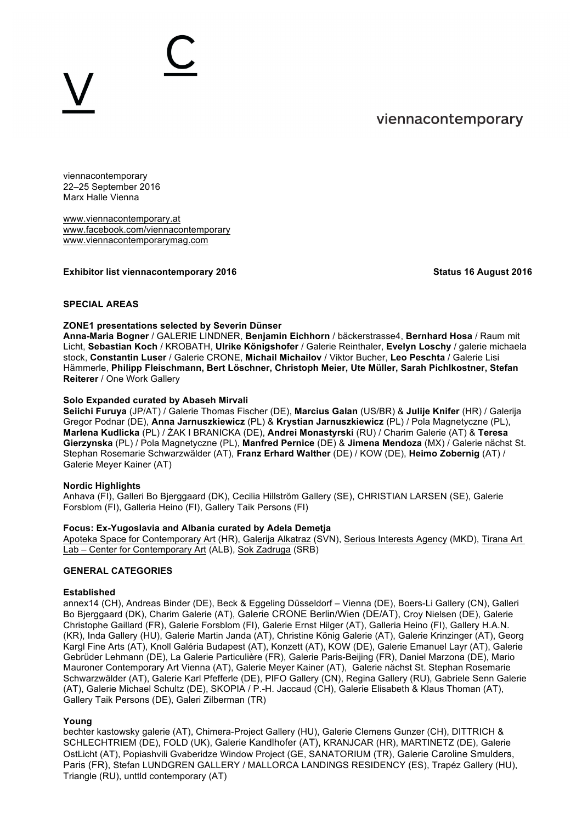# viennacontemporary

viennacontemporary 22–25 September 2016 Marx Halle Vienna

www.viennacontemporary.at www.facebook.com/viennacontemporary www.viennacontemporarymag.com

#### **Exhibitor list viennacontemporary 2016** Status 16 August 2016

#### **SPECIAL AREAS**

#### **ZONE1 presentations selected by Severin Dünser**

**Anna-Maria Bogner** / GALERIE LINDNER, **Benjamin Eichhorn** / bäckerstrasse4, **Bernhard Hosa** / Raum mit Licht, **Sebastian Koch** / KROBATH, **Ulrike Königshofer** / Galerie Reinthaler, **Evelyn Loschy** / galerie michaela stock, **Constantin Luser** / Galerie CRONE, **Michail Michailov** / Viktor Bucher, **Leo Peschta** / Galerie Lisi Hämmerle, **Philipp Fleischmann, Bert Löschner, Christoph Meier, Ute Müller, Sarah Pichlkostner, Stefan Reiterer** / One Work Gallery

#### **Solo Expanded curated by Abaseh Mirvali**

**Seiichi Furuya** (JP/AT) / Galerie Thomas Fischer (DE), **Marcius Galan** (US/BR) & **Julije Knifer** (HR) / Galerija Gregor Podnar (DE), **Anna Jarnuszkiewicz** (PL) & **Krystian Jarnuszkiewicz** (PL) / Pola Magnetyczne (PL), **Marlena Kudlicka** (PL) / ŻAK I BRANICKA (DE), **Andrei Monastyrski** (RU) / Charim Galerie (AT) & **Teresa Gierzynska** (PL) / Pola Magnetyczne (PL), **Manfred Pernice** (DE) & **Jimena Mendoza** (MX) / Galerie nächst St. Stephan Rosemarie Schwarzwälder (AT), **Franz Erhard Walther** (DE) / KOW (DE), **Heimo Zobernig** (AT) / Galerie Meyer Kainer (AT)

#### **Nordic Highlights**

Anhava (FI), Galleri Bo Bjerggaard (DK), Cecilia Hillström Gallery (SE), CHRISTIAN LARSEN (SE), Galerie Forsblom (FI), Galleria Heino (FI), Gallery Taik Persons (FI)

# **Focus: Ex-Yugoslavia and Albania curated by Adela Demetja**

Apoteka Space for Contemporary Art (HR), Galerija Alkatraz (SVN), Serious Interests Agency (MKD), Tirana Art Lab – Center for Contemporary Art (ALB), Sok Zadruga (SRB)

#### **GENERAL CATEGORIES**

#### **Established**

annex14 (CH), Andreas Binder (DE), Beck & Eggeling Düsseldorf – Vienna (DE), Boers-Li Gallery (CN), Galleri Bo Bjerggaard (DK), Charim Galerie (AT), Galerie CRONE Berlin/Wien (DE/AT), Croy Nielsen (DE), Galerie Christophe Gaillard (FR), Galerie Forsblom (FI), Galerie Ernst Hilger (AT), Galleria Heino (FI), Gallery H.A.N. (KR), Inda Gallery (HU), Galerie Martin Janda (AT), Christine König Galerie (AT), Galerie Krinzinger (AT), Georg Kargl Fine Arts (AT), Knoll Galéria Budapest (AT), Konzett (AT), KOW (DE), Galerie Emanuel Layr (AT), Galerie Gebrüder Lehmann (DE), La Galerie Particulière (FR), Galerie Paris-Beijing (FR), Daniel Marzona (DE), Mario Mauroner Contemporary Art Vienna (AT), Galerie Meyer Kainer (AT), Galerie nächst St. Stephan Rosemarie Schwarzwälder (AT), Galerie Karl Pfefferle (DE), PIFO Gallery (CN), Regina Gallery (RU), Gabriele Senn Galerie (AT), Galerie Michael Schultz (DE), SKOPIA / P.-H. Jaccaud (CH), Galerie Elisabeth & Klaus Thoman (AT), Gallery Taik Persons (DE), Galeri Zilberman (TR)

#### **Young**

bechter kastowsky galerie (AT), Chimera-Project Gallery (HU), Galerie Clemens Gunzer (CH), DITTRICH & SCHLECHTRIEM (DE), FOLD (UK), Galerie Kandlhofer (AT), KRANJCAR (HR), MARTINETZ (DE), Galerie OstLicht (AT), Popiashvili Gvaberidze Window Project (GE, SANATORIUM (TR), Galerie Caroline Smulders, Paris (FR), Stefan LUNDGREN GALLERY / MALLORCA LANDINGS RESIDENCY (ES), Trapéz Gallery (HU), Triangle (RU), unttld contemporary (AT)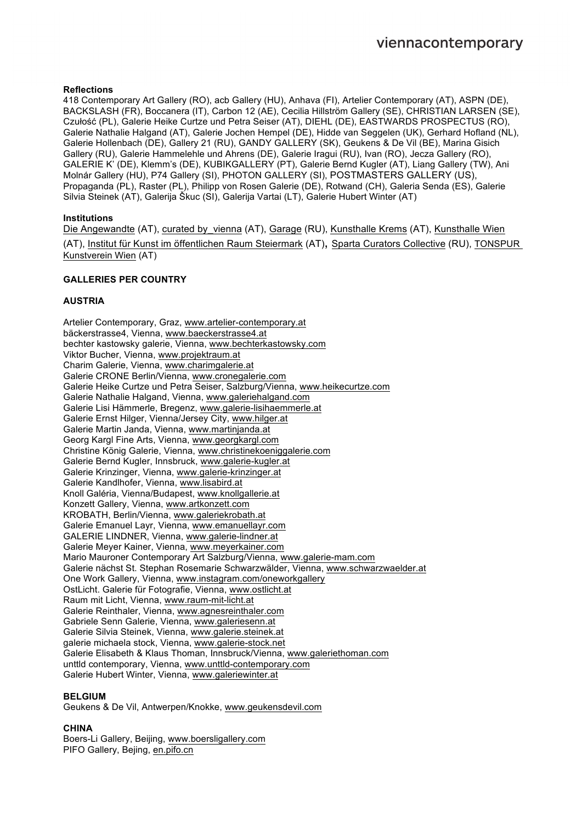# **Reflections**

418 Contemporary Art Gallery (RO), acb Gallery (HU), Anhava (FI), Artelier Contemporary (AT), ASPN (DE), BACKSLASH (FR), Boccanera (IT), Carbon 12 (AE), Cecilia Hillström Gallery (SE), CHRISTIAN LARSEN (SE), Czułość (PL), Galerie Heike Curtze und Petra Seiser (AT), DIEHL (DE), EASTWARDS PROSPECTUS (RO), Galerie Nathalie Halgand (AT), Galerie Jochen Hempel (DE), Hidde van Seggelen (UK), Gerhard Hofland (NL), Galerie Hollenbach (DE), Gallery 21 (RU), GANDY GALLERY (SK), Geukens & De Vil (BE), Marina Gisich Gallery (RU), Galerie Hammelehle und Ahrens (DE), Galerie Iragui (RU), Ivan (RO), Jecza Gallery (RO), GALERIE K' (DE), Klemm's (DE), KUBIKGALLERY (PT), Galerie Bernd Kugler (AT), Liang Gallery (TW), Ani Molnár Gallery (HU), P74 Gallery (SI), PHOTON GALLERY (SI), POSTMASTERS GALLERY (US), Propaganda (PL), Raster (PL), Philipp von Rosen Galerie (DE), Rotwand (CH), Galeria Senda (ES), Galerie Silvia Steinek (AT), Galerija Škuc (SI), Galerija Vartai (LT), Galerie Hubert Winter (AT)

# **Institutions**

Die Angewandte (AT), curated by\_vienna (AT), Garage (RU), Kunsthalle Krems (AT), Kunsthalle Wien (AT), Institut für Kunst im öffentlichen Raum Steiermark (AT), Sparta Curators Collective (RU), TONSPUR Kunstverein Wien (AT)

# **GALLERIES PER COUNTRY**

# **AUSTRIA**

Artelier Contemporary, Graz, www.artelier-contemporary.at bäckerstrasse4, Vienna, www.baeckerstrasse4.at bechter kastowsky galerie, Vienna, www.bechterkastowsky.com Viktor Bucher, Vienna, www.projektraum.at Charim Galerie, Vienna, www.charimgalerie.at Galerie CRONE Berlin/Vienna, www.cronegalerie.com Galerie Heike Curtze und Petra Seiser, Salzburg/Vienna, www.heikecurtze.com Galerie Nathalie Halgand, Vienna, www.galeriehalgand.com Galerie Lisi Hämmerle, Bregenz, www.galerie-lisihaemmerle.at Galerie Ernst Hilger, Vienna/Jersey City, www.hilger.at Galerie Martin Janda, Vienna, www.martinjanda.at Georg Kargl Fine Arts, Vienna, www.georgkargl.com Christine König Galerie, Vienna, www.christinekoeniggalerie.com Galerie Bernd Kugler, Innsbruck, www.galerie-kugler.at Galerie Krinzinger, Vienna, www.galerie-krinzinger.at Galerie Kandlhofer, Vienna, www.lisabird.at Knoll Galéria, Vienna/Budapest, www.knollgallerie.at Konzett Gallery, Vienna, www.artkonzett.com KROBATH, Berlin/Vienna, www.galeriekrobath.at Galerie Emanuel Layr, Vienna, www.emanuellayr.com GALERIE LINDNER, Vienna, www.galerie-lindner.at Galerie Meyer Kainer, Vienna, www.meyerkainer.com Mario Mauroner Contemporary Art Salzburg/Vienna, www.galerie-mam.com Galerie nächst St. Stephan Rosemarie Schwarzwälder, Vienna, www.schwarzwaelder.at One Work Gallery, Vienna, www.instagram.com/oneworkgallery OstLicht. Galerie für Fotografie, Vienna, www.ostlicht.at Raum mit Licht, Vienna, www.raum-mit-licht.at Galerie Reinthaler, Vienna, www.agnesreinthaler.com Gabriele Senn Galerie, Vienna, www.galeriesenn.at Galerie Silvia Steinek, Vienna, www.galerie.steinek.at galerie michaela stock, Vienna, www.galerie-stock.net Galerie Elisabeth & Klaus Thoman, Innsbruck/Vienna, www.galeriethoman.com unttld contemporary, Vienna, www.unttld-contemporary.com Galerie Hubert Winter, Vienna, www.galeriewinter.at

#### **BELGIUM**

Geukens & De Vil, Antwerpen/Knokke, www.geukensdevil.com

# **CHINA**

Boers-Li Gallery, Beijing, www.boersligallery.com PIFO Gallery, Bejing, en.pifo.cn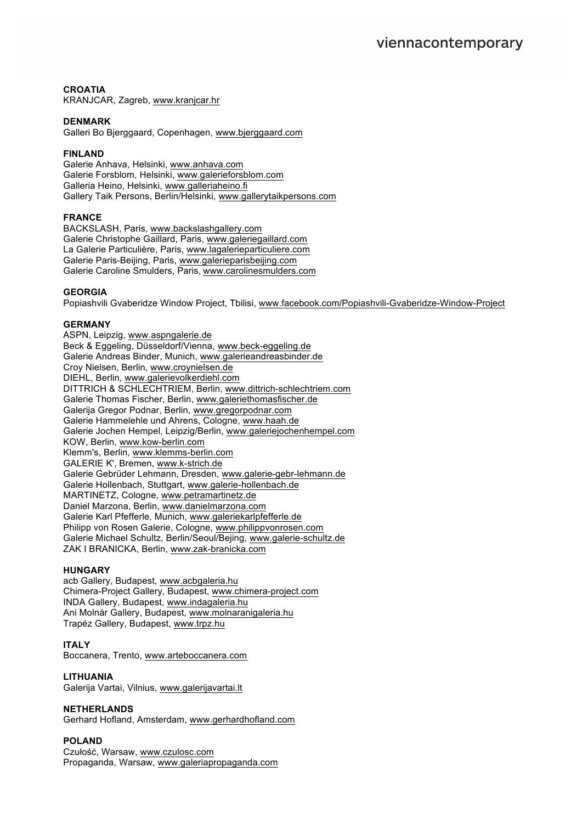# **CROATIA**

KRANJCAR, Zagreb, www.kranjcar.hr

#### **DENMARK**

Galleri Bo Bjerggaard, Copenhagen, www.bjerggaard.com

# **FINLAND**

Galerie Anhava, Helsinki, www.anhava.com Galerie Forsblom, Helsinki, www.galerieforsblom.com Galleria Heino, Helsinki, www.galleriaheino.fi Gallery Taik Persons, Berlin/Helsinki, www.gallerytaikpersons.com

# **FRANCE**

BACKSLASH, Paris, www.backslashgallery.com Galerie Christophe Gaillard, Paris, www.galeriegaillard.com La Galerie Particulière, Paris, www.lagalerieparticuliere.com Galerie Paris-Beijing, Paris, www.galerieparisbeijing.com Galerie Caroline Smulders, Paris, www.carolinesmulders.com

#### **GEORGIA**

Popiashvili Gvaberidze Window Project, Tbilisi, www.facebook.com/Popiashvili-Gvaberidze-Window-Project

#### **GERMANY**

ASPN, Leipzig, www.aspngalerie.de Beck & Eggeling, Düsseldorf/Vienna, www.beck-eggeling.de Galerie Andreas Binder, Munich, www.galerieandreasbinder.de Croy Nielsen, Berlin, www.croynielsen.de DIEHL, Berlin, www.galerievolkerdiehl.com DITTRICH & SCHLECHTRIEM, Berlin, www.dittrich-schlechtriem.com Galerie Thomas Fischer, Berlin, www.galeriethomasfischer.de Galerija Gregor Podnar, Berlin, www.gregorpodnar.com Galerie Hammelehle und Ahrens, Cologne, www.haah.de Galerie Jochen Hempel, Leipzig/Berlin, www.galeriejochenhempel.com KOW, Berlin, www.kow-berlin.com Klemm's, Berlin, www.klemms-berlin.com GALERIE K', Bremen, www.k-strich.de Galerie Gebrüder Lehmann, Dresden, www.galerie-gebr-lehmann.de Galerie Hollenbach, Stuttgart, www.galerie-hollenbach.de MARTINETZ, Cologne, www.petramartinetz.de Daniel Marzona, Berlin, www.danielmarzona.com Galerie Karl Pfefferle, Munich, www.galeriekarlpfefferle.de Philipp von Rosen Galerie, Cologne, www.philippvonrosen.com Galerie Michael Schultz, Berlin/Seoul/Bejing, www.galerie-schultz.de ZAK I BRANICKA, Berlin, www.zak-branicka.com

#### **HUNGARY**

acb Gallery, Budapest, www.acbgaleria.hu Chimera-Project Gallery, Budapest, www.chimera-project.com INDA Gallery, Budapest, www.indagaleria.hu Ani Molnár Gallery, Budapest, www.molnaranigaleria.hu Trapéz Gallery, Budapest, www.trpz.hu

#### **ITALY**

Boccanera, Trento, www.arteboccanera.com

#### **LITHUANIA**

Galerija Vartai, Vilnius, www.galerijavartai.lt

#### **NETHERLANDS**

Gerhard Hofland, Amsterdam, www.gerhardhofland.com

# **POLAND**

Czułość, Warsaw, www.czulosc.com Propaganda, Warsaw, www.galeriapropaganda.com